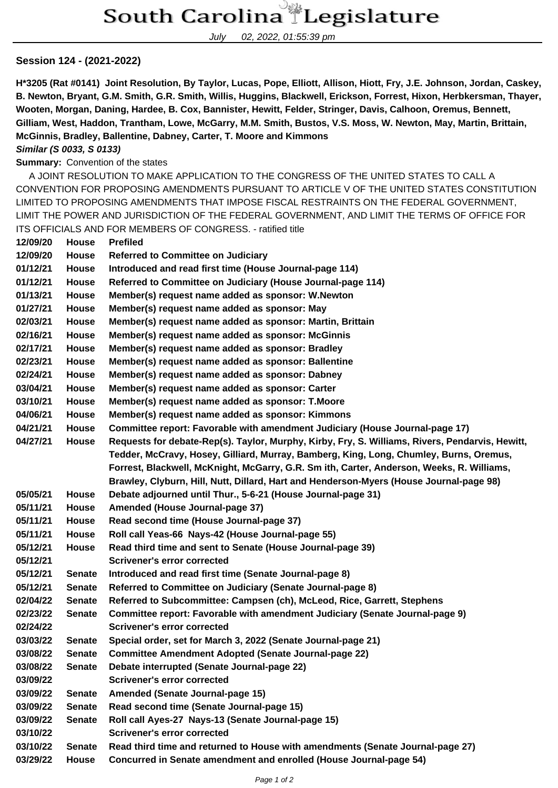July 02, 2022, 01:55:39 pm

## **Session 124 - (2021-2022)**

**H\*3205 (Rat #0141) Joint Resolution, By Taylor, Lucas, Pope, Elliott, Allison, Hiott, Fry, J.E. Johnson, Jordan, Caskey, B. Newton, Bryant, G.M. Smith, G.R. Smith, Willis, Huggins, Blackwell, Erickson, Forrest, Hixon, Herbkersman, Thayer, Wooten, Morgan, Daning, Hardee, B. Cox, Bannister, Hewitt, Felder, Stringer, Davis, Calhoon, Oremus, Bennett, Gilliam, West, Haddon, Trantham, Lowe, McGarry, M.M. Smith, Bustos, V.S. Moss, W. Newton, May, Martin, Brittain, McGinnis, Bradley, Ballentine, Dabney, Carter, T. Moore and Kimmons**

## **Similar (S 0033, S 0133)**

**Summary:** Convention of the states

 A JOINT RESOLUTION TO MAKE APPLICATION TO THE CONGRESS OF THE UNITED STATES TO CALL A CONVENTION FOR PROPOSING AMENDMENTS PURSUANT TO ARTICLE V OF THE UNITED STATES CONSTITUTION LIMITED TO PROPOSING AMENDMENTS THAT IMPOSE FISCAL RESTRAINTS ON THE FEDERAL GOVERNMENT, LIMIT THE POWER AND JURISDICTION OF THE FEDERAL GOVERNMENT, AND LIMIT THE TERMS OF OFFICE FOR ITS OFFICIALS AND FOR MEMBERS OF CONGRESS. - ratified title

| 12/09/20 | <b>House</b>  | <b>Prefiled</b>                                                                                 |  |  |
|----------|---------------|-------------------------------------------------------------------------------------------------|--|--|
| 12/09/20 | House         | <b>Referred to Committee on Judiciary</b>                                                       |  |  |
| 01/12/21 | House         | Introduced and read first time (House Journal-page 114)                                         |  |  |
| 01/12/21 | House         | Referred to Committee on Judiciary (House Journal-page 114)                                     |  |  |
| 01/13/21 | House         | Member(s) request name added as sponsor: W.Newton                                               |  |  |
| 01/27/21 | House         | Member(s) request name added as sponsor: May                                                    |  |  |
| 02/03/21 | House         | Member(s) request name added as sponsor: Martin, Brittain                                       |  |  |
| 02/16/21 | House         | Member(s) request name added as sponsor: McGinnis                                               |  |  |
| 02/17/21 | House         | Member(s) request name added as sponsor: Bradley                                                |  |  |
| 02/23/21 | House         | Member(s) request name added as sponsor: Ballentine                                             |  |  |
| 02/24/21 | House         | Member(s) request name added as sponsor: Dabney                                                 |  |  |
| 03/04/21 | House         | Member(s) request name added as sponsor: Carter                                                 |  |  |
| 03/10/21 | House         | Member(s) request name added as sponsor: T.Moore                                                |  |  |
| 04/06/21 | House         | Member(s) request name added as sponsor: Kimmons                                                |  |  |
| 04/21/21 | <b>House</b>  | Committee report: Favorable with amendment Judiciary (House Journal-page 17)                    |  |  |
| 04/27/21 | House         | Requests for debate-Rep(s). Taylor, Murphy, Kirby, Fry, S. Williams, Rivers, Pendarvis, Hewitt, |  |  |
|          |               | Tedder, McCravy, Hosey, Gilliard, Murray, Bamberg, King, Long, Chumley, Burns, Oremus,          |  |  |
|          |               | Forrest, Blackwell, McKnight, McGarry, G.R. Sm ith, Carter, Anderson, Weeks, R. Williams,       |  |  |
|          |               | Brawley, Clyburn, Hill, Nutt, Dillard, Hart and Henderson-Myers (House Journal-page 98)         |  |  |
| 05/05/21 | <b>House</b>  | Debate adjourned until Thur., 5-6-21 (House Journal-page 31)                                    |  |  |
| 05/11/21 | House         | Amended (House Journal-page 37)                                                                 |  |  |
| 05/11/21 | House         | Read second time (House Journal-page 37)                                                        |  |  |
| 05/11/21 | House         | Roll call Yeas-66 Nays-42 (House Journal-page 55)                                               |  |  |
| 05/12/21 | House         | Read third time and sent to Senate (House Journal-page 39)                                      |  |  |
| 05/12/21 |               | <b>Scrivener's error corrected</b>                                                              |  |  |
| 05/12/21 | <b>Senate</b> | Introduced and read first time (Senate Journal-page 8)                                          |  |  |
| 05/12/21 | <b>Senate</b> | Referred to Committee on Judiciary (Senate Journal-page 8)                                      |  |  |
| 02/04/22 | <b>Senate</b> | Referred to Subcommittee: Campsen (ch), McLeod, Rice, Garrett, Stephens                         |  |  |
| 02/23/22 | <b>Senate</b> | Committee report: Favorable with amendment Judiciary (Senate Journal-page 9)                    |  |  |
| 02/24/22 |               | <b>Scrivener's error corrected</b>                                                              |  |  |
| 03/03/22 | <b>Senate</b> | Special order, set for March 3, 2022 (Senate Journal-page 21)                                   |  |  |
| 03/08/22 | Senate        | <b>Committee Amendment Adopted (Senate Journal-page 22)</b>                                     |  |  |
| 03/08/22 | <b>Senate</b> | Debate interrupted (Senate Journal-page 22)                                                     |  |  |
| 03/09/22 |               | <b>Scrivener's error corrected</b>                                                              |  |  |
| 03/09/22 | <b>Senate</b> | Amended (Senate Journal-page 15)                                                                |  |  |
| 03/09/22 | <b>Senate</b> | Read second time (Senate Journal-page 15)                                                       |  |  |
| 03/09/22 | <b>Senate</b> | Roll call Ayes-27 Nays-13 (Senate Journal-page 15)                                              |  |  |
| 03/10/22 |               | <b>Scrivener's error corrected</b>                                                              |  |  |
| 03/10/22 | <b>Senate</b> | Read third time and returned to House with amendments (Senate Journal-page 27)                  |  |  |
| 03/29/22 | <b>House</b>  | Concurred in Senate amendment and enrolled (House Journal-page 54)                              |  |  |